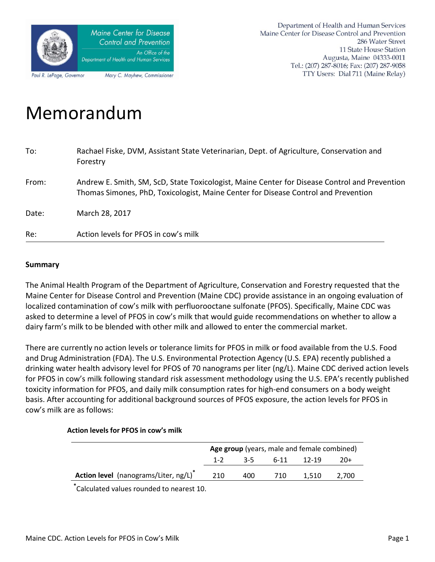

# Memorandum

| To:   | Rachael Fiske, DVM, Assistant State Veterinarian, Dept. of Agriculture, Conservation and<br>Forestry                                                                                |
|-------|-------------------------------------------------------------------------------------------------------------------------------------------------------------------------------------|
| From: | Andrew E. Smith, SM, ScD, State Toxicologist, Maine Center for Disease Control and Prevention<br>Thomas Simones, PhD, Toxicologist, Maine Center for Disease Control and Prevention |
| Date: | March 28, 2017                                                                                                                                                                      |
| Re:   | Action levels for PFOS in cow's milk                                                                                                                                                |

#### **Summary**

The Animal Health Program of the Department of Agriculture, Conservation and Forestry requested that the Maine Center for Disease Control and Prevention (Maine CDC) provide assistance in an ongoing evaluation of localized contamination of cow's milk with perfluorooctane sulfonate (PFOS). Specifically, Maine CDC was asked to determine a level of PFOS in cow's milk that would guide recommendations on whether to allow a dairy farm's milk to be blended with other milk and allowed to enter the commercial market.

There are currently no action levels or tolerance limits for PFOS in milk or food available from the U.S. Food and Drug Administration (FDA). The U.S. Environmental Protection Agency (U.S. EPA) recently published a drinking water health advisory level for PFOS of 70 nanograms per liter (ng/L). Maine CDC derived action levels for PFOS in cow's milk following standard risk assessment methodology using the U.S. EPA's recently published toxicity information for PFOS, and daily milk consumption rates for high-end consumers on a body weight basis. After accounting for additional background sources of PFOS exposure, the action levels for PFOS in cow's milk are as follows:

#### **Action levels for PFOS in cow's milk**

|                                      | Age group (years, male and female combined) |     |                |       |       |
|--------------------------------------|---------------------------------------------|-----|----------------|-------|-------|
|                                      | $1 - 2$                                     |     | 3-5 6-11 12-19 |       | -20+  |
| Action level (nanograms/Liter, ng/L) | 210                                         | 400 | 710            | 1.510 | 2,700 |
|                                      |                                             |     |                |       |       |

**\*** Calculated values rounded to nearest 10.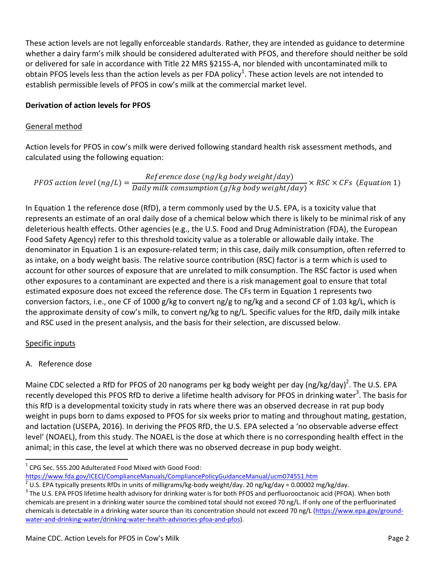These action levels are not legally enforceable standards. Rather, they are intended as guidance to determine whether a dairy farm's milk should be considered adulterated with PFOS, and therefore should neither be sold or delivered for sale in accordance with Title 22 MRS §2155-A, nor blended with uncontaminated milk to obtain PFOS levels less than the action levels as per FDA policy<sup>1</sup>. These action levels are not intended to establish permissible levels of PFOS in cow's milk at the commercial market level.

# **Derivation of action levels for PFOS**

## General method

Action levels for PFOS in cow's milk were derived following standard health risk assessment methods, and calculated using the following equation:

PFOS action level  $(ng/L)$  = Reference dose (ng/kg body weight/day)  $\frac{1}{2}$  and  $\frac{1}{2}$  is the consumption (g/kg body weight/day)  $\times RSC \times CFs$  (Equation 1)

In Equation 1 the reference dose (RfD), a term commonly used by the U.S. EPA, is a toxicity value that represents an estimate of an oral daily dose of a chemical below which there is likely to be minimal risk of any deleterious health effects. Other agencies (e.g., the U.S. Food and Drug Administration (FDA), the European Food Safety Agency) refer to this threshold toxicity value as a tolerable or allowable daily intake. The denominator in Equation 1 is an exposure-related term; in this case, daily milk consumption, often referred to as intake, on a body weight basis. The relative source contribution (RSC) factor is a term which is used to account for other sources of exposure that are unrelated to milk consumption. The RSC factor is used when other exposures to a contaminant are expected and there is a risk management goal to ensure that total estimated exposure does not exceed the reference dose. The CFs term in Equation 1 represents two conversion factors, i.e., one CF of 1000 g/kg to convert ng/g to ng/kg and a second CF of 1.03 kg/L, which is the approximate density of cow's milk, to convert ng/kg to ng/L. Specific values for the RfD, daily milk intake and RSC used in the present analysis, and the basis for their selection, are discussed below.

## Specific inputs

## A. Reference dose

Maine CDC selected a RfD for PFOS of 20 nanograms per kg body weight per day (ng/kg/day)<sup>2</sup>. The U.S. EPA recently developed this PFOS RfD to derive a lifetime health advisory for PFOS in drinking water<sup>3</sup>. The basis for this RfD is a developmental toxicity study in rats where there was an observed decrease in rat pup body weight in pups born to dams exposed to PFOS for six weeks prior to mating and throughout mating, gestation, and lactation (USEPA, 2016). In deriving the PFOS RfD, the U.S. EPA selected a 'no observable adverse effect level' (NOAEL), from this study. The NOAEL is the dose at which there is no corresponding health effect in the animal; in this case, the level at which there was no observed decrease in pup body weight.

 $\overline{\phantom{a}}$  $1$  CPG Sec. 555.200 Adulterated Food Mixed with Good Food:

<https://www.fda.gov/ICECI/ComplianceManuals/CompliancePolicyGuidanceManual/ucm074551.htm>

<sup>&</sup>lt;sup>2</sup> U.S. EPA typically presents RfDs in units of milligrams/kg-body weight/day. 20 ng/kg/day = 0.00002 mg/kg/day.

 $^3$  The U.S. EPA PFOS lifetime health advisory for drinking water is for both PFOS and perfluorooctanoic acid (PFOA). When both chemicals are present in a drinking water source the combined total should not exceed 70 ng/L. If only one of the perfluorinated chemicals is detectable in a drinking water source than its concentration should not exceed 70 ng/L [\(https://www.epa.gov/ground](https://www.epa.gov/ground-water-and-drinking-water/drinking-water-health-advisories-pfoa-and-pfos)[water-and-drinking-water/drinking-water-health-advisories-pfoa-and-pfos\)](https://www.epa.gov/ground-water-and-drinking-water/drinking-water-health-advisories-pfoa-and-pfos).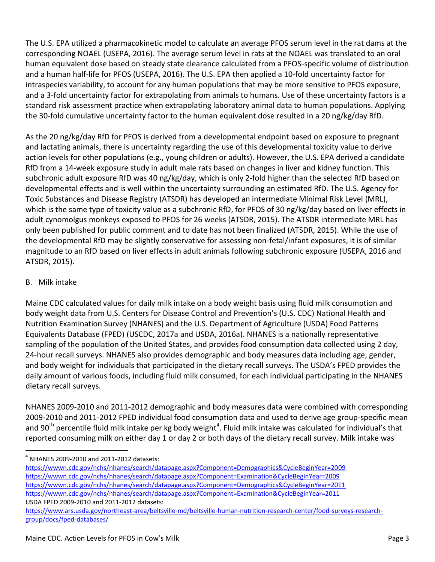The U.S. EPA utilized a pharmacokinetic model to calculate an average PFOS serum level in the rat dams at the corresponding NOAEL (USEPA, 2016). The average serum level in rats at the NOAEL was translated to an oral human equivalent dose based on steady state clearance calculated from a PFOS-specific volume of distribution and a human half-life for PFOS (USEPA, 2016). The U.S. EPA then applied a 10-fold uncertainty factor for intraspecies variability, to account for any human populations that may be more sensitive to PFOS exposure, and a 3-fold uncertainty factor for extrapolating from animals to humans. Use of these uncertainty factors is a standard risk assessment practice when extrapolating laboratory animal data to human populations. Applying the 30-fold cumulative uncertainty factor to the human equivalent dose resulted in a 20 ng/kg/day RfD.

As the 20 ng/kg/day RfD for PFOS is derived from a developmental endpoint based on exposure to pregnant and lactating animals, there is uncertainty regarding the use of this developmental toxicity value to derive action levels for other populations (e.g., young children or adults). However, the U.S. EPA derived a candidate RfD from a 14-week exposure study in adult male rats based on changes in liver and kidney function. This subchronic adult exposure RfD was 40 ng/kg/day, which is only 2-fold higher than the selected RfD based on developmental effects and is well within the uncertainty surrounding an estimated RfD. The U.S. Agency for Toxic Substances and Disease Registry (ATSDR) has developed an intermediate Minimal Risk Level (MRL), which is the same type of toxicity value as a subchronic RfD, for PFOS of 30 ng/kg/day based on liver effects in adult cynomolgus monkeys exposed to PFOS for 26 weeks (ATSDR, 2015). The ATSDR intermediate MRL has only been published for public comment and to date has not been finalized (ATSDR, 2015). While the use of the developmental RfD may be slightly conservative for assessing non-fetal/infant exposures, it is of similar magnitude to an RfD based on liver effects in adult animals following subchronic exposure (USEPA, 2016 and ATSDR, 2015).

## B. Milk intake

 $\overline{\phantom{a}}$ 

Maine CDC calculated values for daily milk intake on a body weight basis using fluid milk consumption and body weight data from U.S. Centers for Disease Control and Prevention's (U.S. CDC) National Health and Nutrition Examination Survey (NHANES) and the U.S. Department of Agriculture (USDA) Food Patterns Equivalents Database (FPED) (USCDC, 2017a and USDA, 2016a). NHANES is a nationally representative sampling of the population of the United States, and provides food consumption data collected using 2 day, 24-hour recall surveys. NHANES also provides demographic and body measures data including age, gender, and body weight for individuals that participated in the dietary recall surveys. The USDA's FPED provides the daily amount of various foods, including fluid milk consumed, for each individual participating in the NHANES dietary recall surveys.

NHANES 2009-2010 and 2011-2012 demographic and body measures data were combined with corresponding 2009-2010 and 2011-2012 FPED individual food consumption data and used to derive age group-specific mean and 90<sup>th</sup> percentile fluid milk intake per kg body weight<sup>4</sup>. Fluid milk intake was calculated for individual's that reported consuming milk on either day 1 or day 2 or both days of the dietary recall survey. Milk intake was

- <https://wwwn.cdc.gov/nchs/nhanes/search/datapage.aspx?Component=Demographics&CycleBeginYear=2009> <https://wwwn.cdc.gov/nchs/nhanes/search/datapage.aspx?Component=Examination&CycleBeginYear=2009> <https://wwwn.cdc.gov/nchs/nhanes/search/datapage.aspx?Component=Demographics&CycleBeginYear=2011> <https://wwwn.cdc.gov/nchs/nhanes/search/datapage.aspx?Component=Examination&CycleBeginYear=2011> USDA FPED 2009-2010 and 2011-2012 datasets:
- [https://www.ars.usda.gov/northeast-area/beltsville-md/beltsville-human-nutrition-research-center/food-surveys-research](https://www.ars.usda.gov/northeast-area/beltsville-md/beltsville-human-nutrition-research-center/food-surveys-research-group/docs/fped-databases/)[group/docs/fped-databases/](https://www.ars.usda.gov/northeast-area/beltsville-md/beltsville-human-nutrition-research-center/food-surveys-research-group/docs/fped-databases/)

 $4$  NHANES 2009-2010 and 2011-2012 datasets: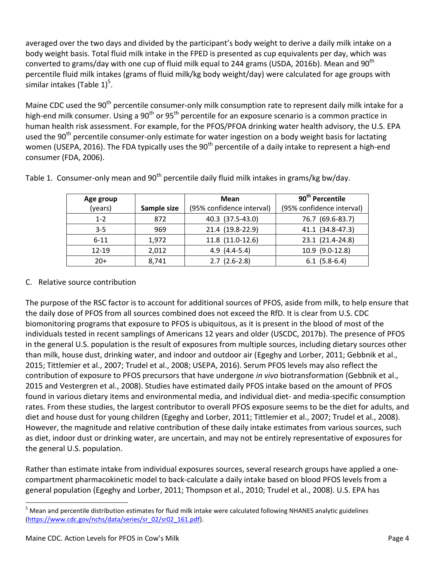averaged over the two days and divided by the participant's body weight to derive a daily milk intake on a body weight basis. Total fluid milk intake in the FPED is presented as cup equivalents per day, which was converted to grams/day with one cup of fluid milk equal to 244 grams (USDA, 2016b). Mean and 90<sup>th</sup> percentile fluid milk intakes (grams of fluid milk/kg body weight/day) were calculated for age groups with similar intakes (Table  $1)^5$ .

Maine CDC used the 90<sup>th</sup> percentile consumer-only milk consumption rate to represent daily milk intake for a high-end milk consumer. Using a 90<sup>th</sup> or 95<sup>th</sup> percentile for an exposure scenario is a common practice in human health risk assessment. For example, for the PFOS/PFOA drinking water health advisory, the U.S. EPA used the 90<sup>th</sup> percentile consumer-only estimate for water ingestion on a body weight basis for lactating women (USEPA, 2016). The FDA typically uses the 90<sup>th</sup> percentile of a daily intake to represent a high-end consumer (FDA, 2006).

| Age group |             | Mean                      | 90 <sup>th</sup> Percentile |
|-----------|-------------|---------------------------|-----------------------------|
| (years)   | Sample size | (95% confidence interval) | (95% confidence interval)   |
| $1 - 2$   | 872         | 40.3 (37.5-43.0)          | 76.7 (69.6-83.7)            |
| $3 - 5$   | 969         | 21.4 (19.8-22.9)          | 41.1 (34.8-47.3)            |
| $6 - 11$  | 1,972       | 11.8 (11.0-12.6)          | 23.1 (21.4-24.8)            |
| 12-19     | 2,012       | $4.9(4.4-5.4)$            | 10.9 (9.0-12.8)             |
| $20+$     | 8,741       | $2.7$ $(2.6-2.8)$         | $6.1$ (5.8-6.4)             |

Table 1. Consumer-only mean and  $90<sup>th</sup>$  percentile daily fluid milk intakes in grams/kg bw/day.

# C. Relative source contribution

The purpose of the RSC factor is to account for additional sources of PFOS, aside from milk, to help ensure that the daily dose of PFOS from all sources combined does not exceed the RfD. It is clear from U.S. CDC biomonitoring programs that exposure to PFOS is ubiquitous, as it is present in the blood of most of the individuals tested in recent samplings of Americans 12 years and older (USCDC, 2017b). The presence of PFOS in the general U.S. population is the result of exposures from multiple sources, including dietary sources other than milk, house dust, drinking water, and indoor and outdoor air (Egeghy and Lorber, 2011; Gebbnik et al., 2015; Tittlemier et al., 2007; Trudel et al., 2008; USEPA, 2016). Serum PFOS levels may also reflect the contribution of exposure to PFOS precursors that have undergone *in vivo* biotransformation (Gebbnik et al., 2015 and Vestergren et al., 2008). Studies have estimated daily PFOS intake based on the amount of PFOS found in various dietary items and environmental media, and individual diet- and media-specific consumption rates. From these studies, the largest contributor to overall PFOS exposure seems to be the diet for adults, and diet and house dust for young children (Egeghy and Lorber, 2011; Tittlemier et al., 2007; Trudel et al., 2008). However, the magnitude and relative contribution of these daily intake estimates from various sources, such as diet, indoor dust or drinking water, are uncertain, and may not be entirely representative of exposures for the general U.S. population.

Rather than estimate intake from individual exposures sources, several research groups have applied a onecompartment pharmacokinetic model to back-calculate a daily intake based on blood PFOS levels from a general population (Egeghy and Lorber, 2011; Thompson et al., 2010; Trudel et al., 2008). U.S. EPA has

 $\overline{\phantom{a}}$ 

 $<sup>5</sup>$  Mean and percentile distribution estimates for fluid milk intake were calculated following NHANES analytic guidelines</sup> [\(https://www.cdc.gov/nchs/data/series/sr\\_02/sr02\\_161.pdf\)](https://www.cdc.gov/nchs/data/series/sr_02/sr02_161.pdf).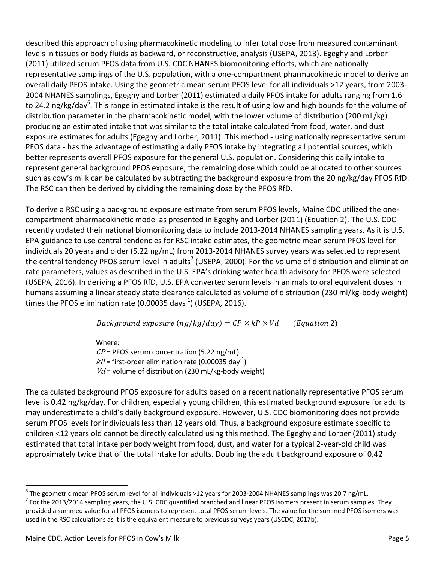described this approach of using pharmacokinetic modeling to infer total dose from measured contaminant levels in tissues or body fluids as backward, or reconstructive, analysis (USEPA, 2013). Egeghy and Lorber (2011) utilized serum PFOS data from U.S. CDC NHANES biomonitoring efforts, which are nationally representative samplings of the U.S. population, with a one-compartment pharmacokinetic model to derive an overall daily PFOS intake. Using the geometric mean serum PFOS level for all individuals >12 years, from 2003- 2004 NHANES samplings, Egeghy and Lorber (2011) estimated a daily PFOS intake for adults ranging from 1.6 to 24.2 ng/kg/day<sup>6</sup>. This range in estimated intake is the result of using low and high bounds for the volume of distribution parameter in the pharmacokinetic model, with the lower volume of distribution (200 mL/kg) producing an estimated intake that was similar to the total intake calculated from food, water, and dust exposure estimates for adults (Egeghy and Lorber, 2011). This method - using nationally representative serum PFOS data - has the advantage of estimating a daily PFOS intake by integrating all potential sources, which better represents overall PFOS exposure for the general U.S. population. Considering this daily intake to represent general background PFOS exposure, the remaining dose which could be allocated to other sources such as cow's milk can be calculated by subtracting the background exposure from the 20 ng/kg/day PFOS RfD. The RSC can then be derived by dividing the remaining dose by the PFOS RfD.

To derive a RSC using a background exposure estimate from serum PFOS levels, Maine CDC utilized the onecompartment pharmacokinetic model as presented in Egeghy and Lorber (2011) (Equation 2). The U.S. CDC recently updated their national biomonitoring data to include 2013-2014 NHANES sampling years. As it is U.S. EPA guidance to use central tendencies for RSC intake estimates, the geometric mean serum PFOS level for individuals 20 years and older (5.22 ng/mL) from 2013-2014 NHANES survey years was selected to represent the central tendency PFOS serum level in adults<sup>7</sup> (USEPA, 2000). For the volume of distribution and elimination rate parameters, values as described in the U.S. EPA's drinking water health advisory for PFOS were selected (USEPA, 2016). In deriving a PFOS RfD, U.S. EPA converted serum levels in animals to oral equivalent doses in humans assuming a linear steady state clearance calculated as volume of distribution (230 ml/kg-body weight) times the PFOS elimination rate (0.00035 days<sup>-1</sup>) (USEPA, 2016).

Background exposure  $(ng/kg/day) = CP \times kP \times Vd$  (Equation 2)

Where:  $\mathit{CP}$  = PFOS serum concentration (5.22 ng/mL)  $kP$  = first-order elimination rate (0.00035 day<sup>-1</sup>)  $Vd$  = volume of distribution (230 mL/kg-body weight)

The calculated background PFOS exposure for adults based on a recent nationally representative PFOS serum level is 0.42 ng/kg/day. For children, especially young children, this estimated background exposure for adults may underestimate a child's daily background exposure. However, U.S. CDC biomonitoring does not provide serum PFOS levels for individuals less than 12 years old. Thus, a background exposure estimate specific to children <12 years old cannot be directly calculated using this method. The Egeghy and Lorber (2011) study estimated that total intake per body weight from food, dust, and water for a typical 2-year-old child was approximately twice that of the total intake for adults. Doubling the adult background exposure of 0.42

l

 $^6$  The geometric mean PFOS serum level for all individuals >12 years for 2003-2004 NHANES samplings was 20.7 ng/mL.  $^7$  For the 2013/2014 sampling years, the U.S. CDC quantified branched and linear PFOS isomers present in serum samples. They provided a summed value for all PFOS isomers to represent total PFOS serum levels. The value for the summed PFOS isomers was used in the RSC calculations as it is the equivalent measure to previous surveys years (USCDC, 2017b).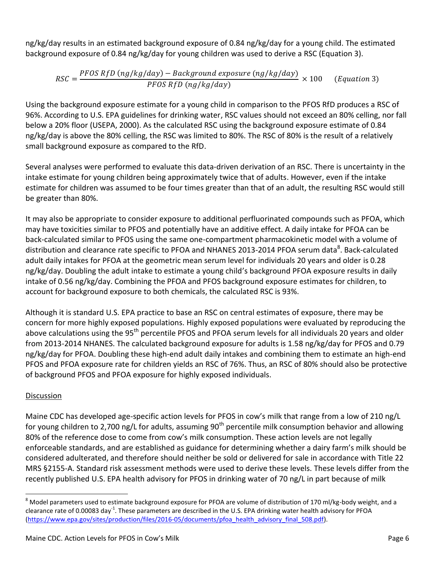ng/kg/day results in an estimated background exposure of 0.84 ng/kg/day for a young child. The estimated background exposure of 0.84 ng/kg/day for young children was used to derive a RSC (Equation 3).

$$
RSC = \frac{PFOS RfD \left( ng/kg/day \right) - Background exposure \left( ng/kg/day \right)}{PFOS RfD \left( ng/kg/day \right)} \times 100 \qquad (Equation 3)
$$

Using the background exposure estimate for a young child in comparison to the PFOS RfD produces a RSC of 96%. According to U.S. EPA guidelines for drinking water, RSC values should not exceed an 80% celling, nor fall below a 20% floor (USEPA, 2000). As the calculated RSC using the background exposure estimate of 0.84 ng/kg/day is above the 80% celling, the RSC was limited to 80%. The RSC of 80% is the result of a relatively small background exposure as compared to the RfD.

Several analyses were performed to evaluate this data-driven derivation of an RSC. There is uncertainty in the intake estimate for young children being approximately twice that of adults. However, even if the intake estimate for children was assumed to be four times greater than that of an adult, the resulting RSC would still be greater than 80%.

It may also be appropriate to consider exposure to additional perfluorinated compounds such as PFOA, which may have toxicities similar to PFOS and potentially have an additive effect. A daily intake for PFOA can be back-calculated similar to PFOS using the same one-compartment pharmacokinetic model with a volume of distribution and clearance rate specific to PFOA and NHANES 2013-2014 PFOA serum data<sup>8</sup>. Back-calculated adult daily intakes for PFOA at the geometric mean serum level for individuals 20 years and older is 0.28 ng/kg/day. Doubling the adult intake to estimate a young child's background PFOA exposure results in daily intake of 0.56 ng/kg/day. Combining the PFOA and PFOS background exposure estimates for children, to account for background exposure to both chemicals, the calculated RSC is 93%.

Although it is standard U.S. EPA practice to base an RSC on central estimates of exposure, there may be concern for more highly exposed populations. Highly exposed populations were evaluated by reproducing the above calculations using the 95<sup>th</sup> percentile PFOS and PFOA serum levels for all individuals 20 years and older from 2013-2014 NHANES. The calculated background exposure for adults is 1.58 ng/kg/day for PFOS and 0.79 ng/kg/day for PFOA. Doubling these high-end adult daily intakes and combining them to estimate an high-end PFOS and PFOA exposure rate for children yields an RSC of 76%. Thus, an RSC of 80% should also be protective of background PFOS and PFOA exposure for highly exposed individuals.

# Discussion

Maine CDC has developed age-specific action levels for PFOS in cow's milk that range from a low of 210 ng/L for young children to 2,700 ng/L for adults, assuming  $90<sup>th</sup>$  percentile milk consumption behavior and allowing 80% of the reference dose to come from cow's milk consumption. These action levels are not legally enforceable standards, and are established as guidance for determining whether a dairy farm's milk should be considered adulterated, and therefore should neither be sold or delivered for sale in accordance with Title 22 MRS §2155-A. Standard risk assessment methods were used to derive these levels. These levels differ from the recently published U.S. EPA health advisory for PFOS in drinking water of 70 ng/L in part because of milk

 $\overline{a}$ <sup>8</sup> Model parameters used to estimate background exposure for PFOA are volume of distribution of 170 ml/kg-body weight, and a clearance rate of 0.00083 day<sup>-1</sup>. These parameters are described in the U.S. EPA drinking water health advisory for PFOA [\(https://www.epa.gov/sites/production/files/2016-05/documents/pfoa\\_health\\_advisory\\_final\\_508.pdf\)](https://www.epa.gov/sites/production/files/2016-05/documents/pfoa_health_advisory_final_508.pdf).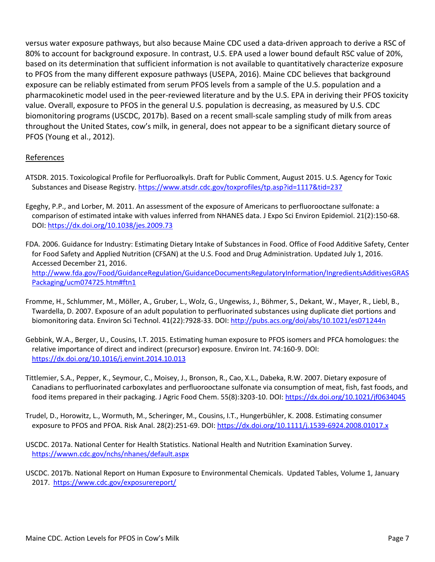versus water exposure pathways, but also because Maine CDC used a data-driven approach to derive a RSC of 80% to account for background exposure. In contrast, U.S. EPA used a lower bound default RSC value of 20%, based on its determination that sufficient information is not available to quantitatively characterize exposure to PFOS from the many different exposure pathways (USEPA, 2016). Maine CDC believes that background exposure can be reliably estimated from serum PFOS levels from a sample of the U.S. population and a pharmacokinetic model used in the peer-reviewed literature and by the U.S. EPA in deriving their PFOS toxicity value. Overall, exposure to PFOS in the general U.S. population is decreasing, as measured by U.S. CDC biomonitoring programs (USCDC, 2017b). Based on a recent small-scale sampling study of milk from areas throughout the United States, cow's milk, in general, does not appear to be a significant dietary source of PFOS (Young et al., 2012).

#### References

- ATSDR. 2015. Toxicological Profile for Perfluoroalkyls. Draft for Public Comment, August 2015. U.S. Agency for Toxic Substances and Disease Registry. <https://www.atsdr.cdc.gov/toxprofiles/tp.asp?id=1117&tid=237>
- Egeghy, P.P., and Lorber, M. 2011. An assessment of the exposure of Americans to perfluorooctane sulfonate: a comparison of estimated intake with values inferred from NHANES data. J Expo Sci Environ Epidemiol. 21(2):150-68. DOI:<https://dx.doi.org/10.1038/jes.2009.73>
- FDA. 2006. Guidance for Industry: Estimating Dietary Intake of Substances in Food. Office of Food Additive Safety, Center for Food Safety and Applied Nutrition (CFSAN) at the U.S. Food and Drug Administration. Updated July 1, 2016. Accessed December 21, 2016. [http://www.fda.gov/Food/GuidanceRegulation/GuidanceDocumentsRegulatoryInformation/IngredientsAdditivesGRAS](http://www.fda.gov/Food/GuidanceRegulation/GuidanceDocumentsRegulatoryInformation/IngredientsAdditivesGRASPackaging/ucm074725.htm#ftn1) [Packaging/ucm074725.htm#ftn1](http://www.fda.gov/Food/GuidanceRegulation/GuidanceDocumentsRegulatoryInformation/IngredientsAdditivesGRASPackaging/ucm074725.htm#ftn1)
- Fromme, H., Schlummer, M., Möller, A., Gruber, L., Wolz, G., Ungewiss, J., Böhmer, S., Dekant, W., Mayer, R., Liebl, B., Twardella, D. 2007. Exposure of an adult population to perfluorinated substances using duplicate diet portions and biomonitoring data. Environ Sci Technol. 41(22):7928-33. DOI[: http://pubs.acs.org/doi/abs/10.1021/es071244n](http://pubs.acs.org/doi/abs/10.1021/es071244n)
- Gebbink, W.A., Berger, U., Cousins, I.T. 2015. Estimating human exposure to PFOS isomers and PFCA homologues: the relative importance of direct and indirect (precursor) exposure. Environ Int. 74:160-9. DOI: <https://dx.doi.org/10.1016/j.envint.2014.10.013>
- Tittlemier, S.A., Pepper, K., Seymour, C., Moisey, J., Bronson, R., Cao, X.L., Dabeka, R.W. 2007. Dietary exposure of Canadians to perfluorinated carboxylates and perfluorooctane sulfonate via consumption of meat, fish, fast foods, and food items prepared in their packaging. J Agric Food Chem. 55(8):3203-10. DOI[: https://dx.doi.org/10.1021/jf0634045](https://dx.doi.org/10.1021/jf0634045)
- Trudel, D., Horowitz, L., Wormuth, M., Scheringer, M., Cousins, I.T., Hungerbühler, K. 2008. Estimating consumer exposure to PFOS and PFOA. Risk Anal. 28(2):251-69. DOI:<https://dx.doi.org/10.1111/j.1539-6924.2008.01017.x>
- USCDC. 2017a. National Center for Health Statistics. National Health and Nutrition Examination Survey. <https://wwwn.cdc.gov/nchs/nhanes/default.aspx>

USCDC. 2017b. National Report on Human Exposure to Environmental Chemicals. Updated Tables, Volume 1, January 2017. <https://www.cdc.gov/exposurereport/>